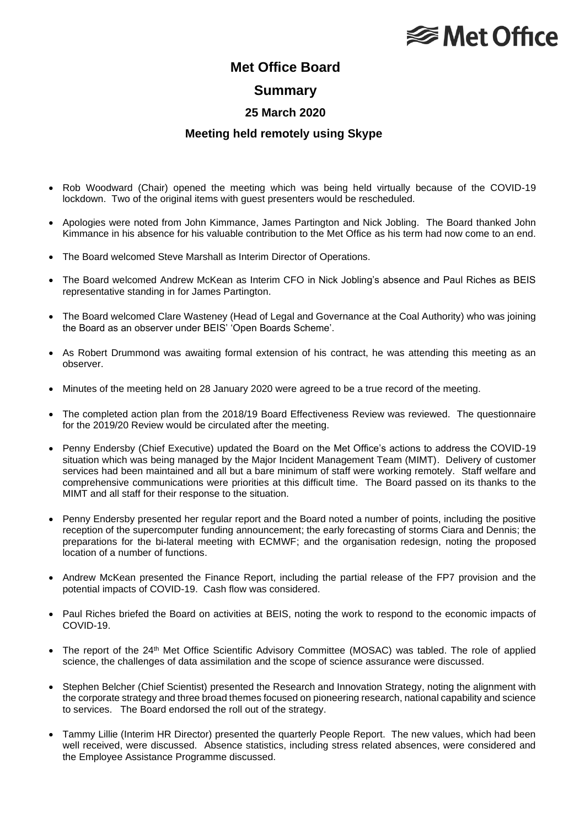# **<del></del>** Met Office

## **Met Office Board**

#### **Summary**

### **25 March 2020**

#### **Meeting held remotely using Skype**

- Rob Woodward (Chair) opened the meeting which was being held virtually because of the COVID-19 lockdown. Two of the original items with guest presenters would be rescheduled.
- Apologies were noted from John Kimmance, James Partington and Nick Jobling. The Board thanked John Kimmance in his absence for his valuable contribution to the Met Office as his term had now come to an end.
- The Board welcomed Steve Marshall as Interim Director of Operations.
- The Board welcomed Andrew McKean as Interim CFO in Nick Jobling's absence and Paul Riches as BEIS representative standing in for James Partington.
- The Board welcomed Clare Wasteney (Head of Legal and Governance at the Coal Authority) who was joining the Board as an observer under BEIS' 'Open Boards Scheme'.
- As Robert Drummond was awaiting formal extension of his contract, he was attending this meeting as an observer.
- Minutes of the meeting held on 28 January 2020 were agreed to be a true record of the meeting.
- The completed action plan from the 2018/19 Board Effectiveness Review was reviewed. The questionnaire for the 2019/20 Review would be circulated after the meeting.
- Penny Endersby (Chief Executive) updated the Board on the Met Office's actions to address the COVID-19 situation which was being managed by the Major Incident Management Team (MIMT). Delivery of customer services had been maintained and all but a bare minimum of staff were working remotely. Staff welfare and comprehensive communications were priorities at this difficult time. The Board passed on its thanks to the MIMT and all staff for their response to the situation.
- Penny Endersby presented her regular report and the Board noted a number of points, including the positive reception of the supercomputer funding announcement; the early forecasting of storms Ciara and Dennis; the preparations for the bi-lateral meeting with ECMWF; and the organisation redesign, noting the proposed location of a number of functions.
- Andrew McKean presented the Finance Report, including the partial release of the FP7 provision and the potential impacts of COVID-19. Cash flow was considered.
- Paul Riches briefed the Board on activities at BEIS, noting the work to respond to the economic impacts of COVID-19.
- The report of the 24<sup>th</sup> Met Office Scientific Advisory Committee (MOSAC) was tabled. The role of applied science, the challenges of data assimilation and the scope of science assurance were discussed.
- Stephen Belcher (Chief Scientist) presented the Research and Innovation Strategy, noting the alignment with the corporate strategy and three broad themes focused on pioneering research, national capability and science to services. The Board endorsed the roll out of the strategy.
- Tammy Lillie (Interim HR Director) presented the quarterly People Report. The new values, which had been well received, were discussed. Absence statistics, including stress related absences, were considered and the Employee Assistance Programme discussed.